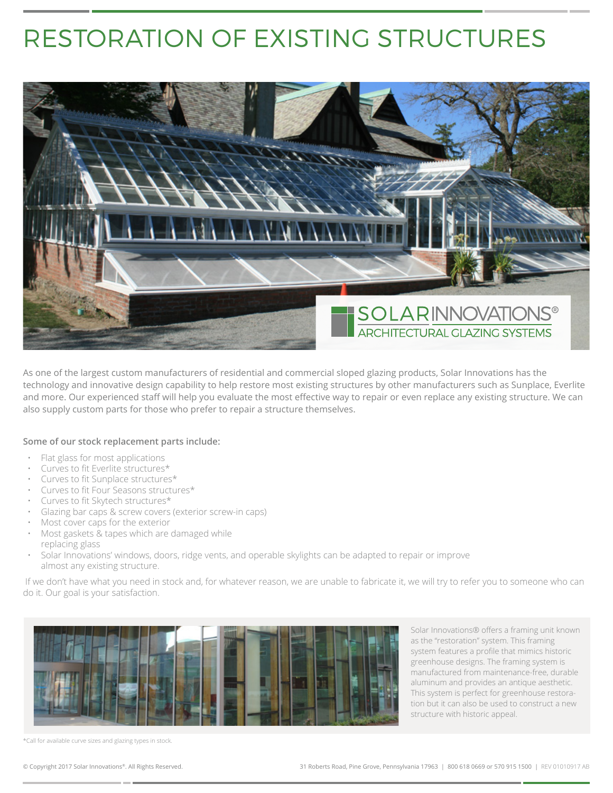## RESTORATION OF EXISTING STRUCTURES



As one of the largest custom manufacturers of residential and commercial sloped glazing products, Solar Innovations has the technology and innovative design capability to help restore most existing structures by other manufacturers such as Sunplace, Everlite and more. Our experienced staff will help you evaluate the most effective way to repair or even replace any existing structure. We can also supply custom parts for those who prefer to repair a structure themselves.

## **Some of our stock replacement parts include:**

- Flat glass for most applications
- Curves to fit Everlite structures\*
- Curves to fit Sunplace structures\*
- Curves to fit Four Seasons structures\*
- Curves to fit Skytech structures\*
- Glazing bar caps & screw covers (exterior screw-in caps)
- Most cover caps for the exterior
- Most gaskets & tapes which are damaged while replacing glass
- Solar Innovations' windows, doors, ridge vents, and operable skylights can be adapted to repair or improve almost any existing structure.

 If we don't have what you need in stock and, for whatever reason, we are unable to fabricate it, we will try to refer you to someone who can do it. Our goal is your satisfaction.



Solar Innovations® offers a framing unit known as the "restoration" system. This framing system features a profile that mimics historic greenhouse designs. The framing system is manufactured from maintenance-free, durable aluminum and provides an antique aesthetic. This system is perfect for greenhouse restoration but it can also be used to construct a new structure with historic appeal.

\*Call for available curve sizes and glazing types in stock.